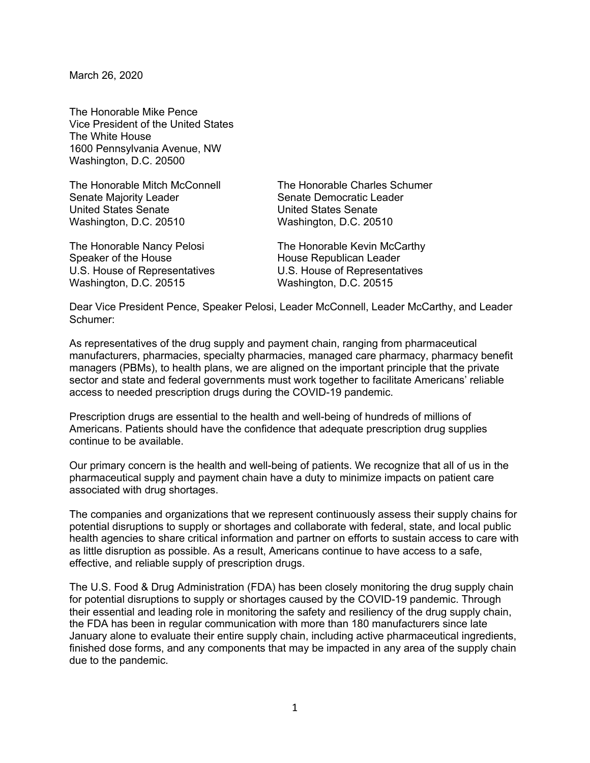March 26, 2020

The Honorable Mike Pence Vice President of the United States The White House 1600 Pennsylvania Avenue, NW Washington, D.C. 20500

Senate Majority Leader Senate Democratic Leader United States Senate United States Senate Washington, D.C. 20510 Washington, D.C. 20510

Speaker of the House **House** House Republican Leader Washington, D.C. 20515 Washington, D.C. 20515

The Honorable Mitch McConnell The Honorable Charles Schumer

The Honorable Nancy Pelosi **The Honorable Kevin McCarthy** U.S. House of Representatives U.S. House of Representatives

Dear Vice President Pence, Speaker Pelosi, Leader McConnell, Leader McCarthy, and Leader Schumer:

As representatives of the drug supply and payment chain, ranging from pharmaceutical manufacturers, pharmacies, specialty pharmacies, managed care pharmacy, pharmacy benefit managers (PBMs), to health plans, we are aligned on the important principle that the private sector and state and federal governments must work together to facilitate Americans' reliable access to needed prescription drugs during the COVID-19 pandemic.

Prescription drugs are essential to the health and well-being of hundreds of millions of Americans. Patients should have the confidence that adequate prescription drug supplies continue to be available.

Our primary concern is the health and well-being of patients. We recognize that all of us in the pharmaceutical supply and payment chain have a duty to minimize impacts on patient care associated with drug shortages.

The companies and organizations that we represent continuously assess their supply chains for potential disruptions to supply or shortages and collaborate with federal, state, and local public health agencies to share critical information and partner on efforts to sustain access to care with as little disruption as possible. As a result, Americans continue to have access to a safe, effective, and reliable supply of prescription drugs.

The U.S. Food & Drug Administration (FDA) has been closely monitoring the drug supply chain for potential disruptions to supply or shortages caused by the COVID-19 pandemic. Through their essential and leading role in monitoring the safety and resiliency of the drug supply chain, the FDA has been in regular communication with more than 180 manufacturers since late January alone to evaluate their entire supply chain, including active pharmaceutical ingredients, finished dose forms, and any components that may be impacted in any area of the supply chain due to the pandemic.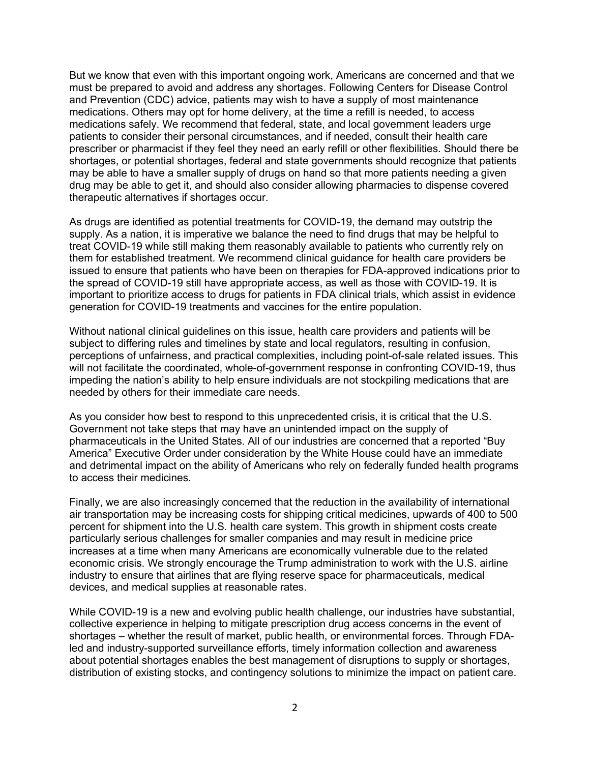But we know that even with this important ongoing work, Americans are concerned and that we must be prepared to avoid and address any shortages. Following Centers for Disease Control and Prevention (CDC) advice, patients may wish to have a supply of most maintenance medications. Others may opt for home delivery, at the time a refill is needed, to access medications safely. We recommend that federal, state, and local government leaders urge patients to consider their personal circumstances, and if needed, consult their health care prescriber or pharmacist if they feel they need an early refill or other flexibilities. Should there be shortages, or potential shortages, federal and state governments should recognize that patients may be able to have a smaller supply of drugs on hand so that more patients needing a given drug may be able to get it, and should also consider allowing pharmacies to dispense covered therapeutic alternatives if shortages occur.

As drugs are identified as potential treatments for COVID-19, the demand may outstrip the supply. As a nation, it is imperative we balance the need to find drugs that may be helpful to treat COVID-19 while still making them reasonably available to patients who currently rely on them for established treatment. We recommend clinical guidance for health care providers be issued to ensure that patients who have been on therapies for FDA-approved indications prior to the spread of COVID-19 still have appropriate access, as well as those with COVID-19. It is important to prioritize access to drugs for patients in FDA clinical trials, which assist in evidence generation for COVID-19 treatments and vaccines for the entire population.

Without national clinical guidelines on this issue, health care providers and patients will be subject to differing rules and timelines by state and local regulators, resulting in confusion, perceptions of unfairness, and practical complexities, including point-of-sale related issues. This will not facilitate the coordinated, whole-of-government response in confronting COVID-19, thus impeding the nation's ability to help ensure individuals are not stockpiling medications that are needed by others for their immediate care needs.

As you consider how best to respond to this unprecedented crisis, it is critical that the U.S. Government not take steps that may have an unintended impact on the supply of pharmaceuticals in the United States. All of our industries are concerned that a reported "Buy America" Executive Order under consideration by the White House could have an immediate and detrimental impact on the ability of Americans who rely on federally funded health programs to access their medicines.

Finally, we are also increasingly concerned that the reduction in the availability of international air transportation may be increasing costs for shipping critical medicines, upwards of 400 to 500 percent for shipment into the U.S. health care system. This growth in shipment costs create particularly serious challenges for smaller companies and may result in medicine price increases at a time when many Americans are economically vulnerable due to the related economic crisis. We strongly encourage the Trump administration to work with the U.S. airline industry to ensure that airlines that are flying reserve space for pharmaceuticals, medical devices, and medical supplies at reasonable rates.

While COVID-19 is a new and evolving public health challenge, our industries have substantial, collective experience in helping to mitigate prescription drug access concerns in the event of shortages – whether the result of market, public health, or environmental forces. Through FDAled and industry-supported surveillance efforts, timely information collection and awareness about potential shortages enables the best management of disruptions to supply or shortages, distribution of existing stocks, and contingency solutions to minimize the impact on patient care.